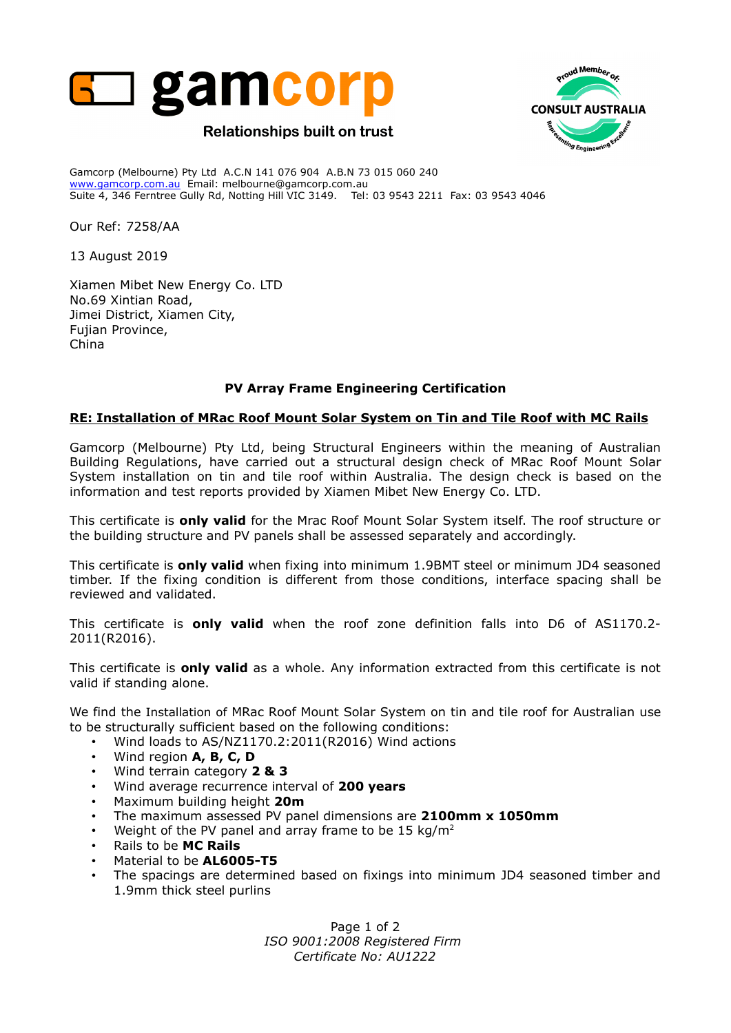



Gamcorp (Melbourne) Pty Ltd A.C.N 141 076 904 A.B.N 73 015 060 240 www.gamcorp.com.au Email: melbourne@gamcorp.com.au Suite 4, 346 Ferntree Gully Rd, Notting Hill VIC 3149. Tel: 03 9543 2211 Fax: 03 9543 4046

Our Ref: 7258/AA

13 August 2019

Xiamen Mibet New Energy Co. LTD No.69 Xintian Road, Jimei District, Xiamen City, Fujian Province, China

## **PV Array Frame Engineering Certification**

## **RE: Installation of MRac Roof Mount Solar System on Tin and Tile Roof with MC Rails**

Gamcorp (Melbourne) Pty Ltd, being Structural Engineers within the meaning of Australian Building Regulations, have carried out a structural design check of MRac Roof Mount Solar System installation on tin and tile roof within Australia. The design check is based on the information and test reports provided by Xiamen Mibet New Energy Co. LTD.

This certificate is **only valid** for the Mrac Roof Mount Solar System itself. The roof structure or the building structure and PV panels shall be assessed separately and accordingly.

This certificate is **only valid** when fixing into minimum 1.9BMT steel or minimum JD4 seasoned timber. If the fixing condition is different from those conditions, interface spacing shall be reviewed and validated.

This certificate is **only valid** when the roof zone definition falls into D6 of AS1170.2- 2011(R2016).

This certificate is **only valid** as a whole. Any information extracted from this certificate is not valid if standing alone.

We find the Installation of MRac Roof Mount Solar System on tin and tile roof for Australian use to be structurally sufficient based on the following conditions:

- Wind loads to AS/NZ1170.2:2011(R2016) Wind actions
- Wind region **A, B, C, D**
- Wind terrain category **2 & 3**
- Wind average recurrence interval of **200 years**
- Maximum building height **20m**
- The maximum assessed PV panel dimensions are **2100mm x 1050mm**
- Weight of the PV panel and array frame to be 15 kg/m<sup>2</sup>
- Rails to be **MC Rails**
- Material to be **AL6005-T5**
- The spacings are determined based on fixings into minimum JD4 seasoned timber and 1.9mm thick steel purlins

Page 1 of 2 *ISO 9001:2008 Registered Firm Certificate No: AU1222*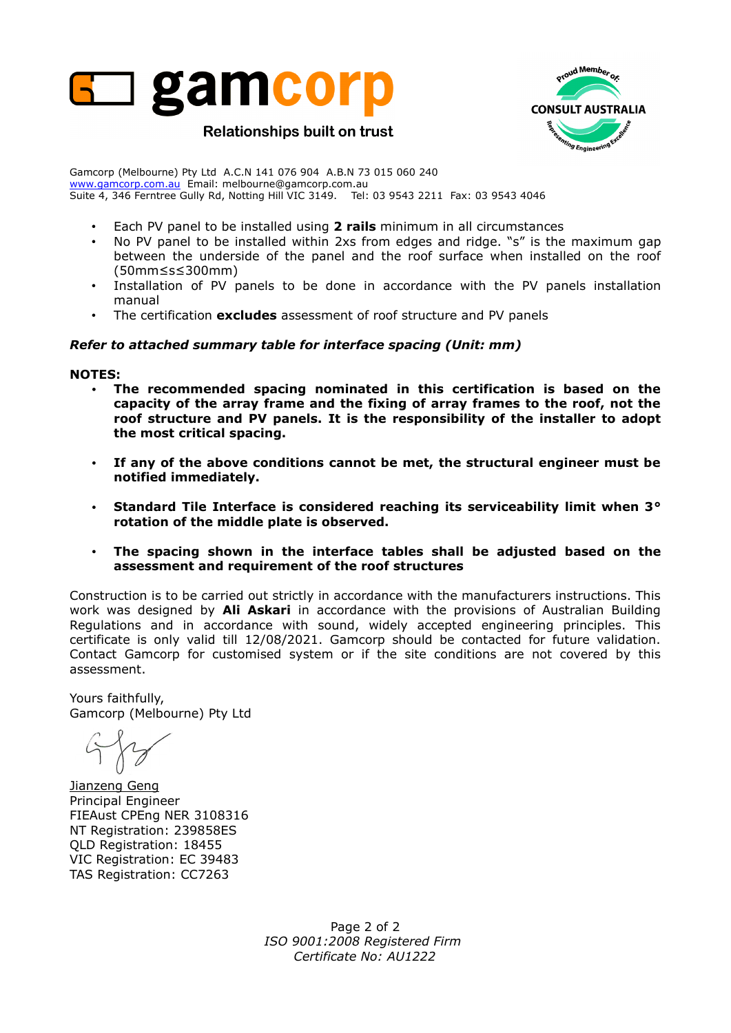



Gamcorp (Melbourne) Pty Ltd A.C.N 141 076 904 A.B.N 73 015 060 240 www.gamcorp.com.au Email: melbourne@gamcorp.com.au Suite 4, 346 Ferntree Gully Rd, Notting Hill VIC 3149. Tel: 03 9543 2211 Fax: 03 9543 4046

- Each PV panel to be installed using **2 rails** minimum in all circumstances
- No PV panel to be installed within 2xs from edges and ridge. "s" is the maximum gap between the underside of the panel and the roof surface when installed on the roof (50mm≤s≤300mm)
- Installation of PV panels to be done in accordance with the PV panels installation manual
- The certification **excludes** assessment of roof structure and PV panels

## *Refer to attached summary table for interface spacing (Unit: mm)*

#### **NOTES:**

- **The recommended spacing nominated in this certification is based on the capacity of the array frame and the fixing of array frames to the roof, not the roof structure and PV panels. It is the responsibility of the installer to adopt the most critical spacing.**
- **If any of the above conditions cannot be met, the structural engineer must be notified immediately.**
- **Standard Tile Interface is considered reaching its serviceability limit when 3° rotation of the middle plate is observed.**
- **The spacing shown in the interface tables shall be adjusted based on the assessment and requirement of the roof structures**

Construction is to be carried out strictly in accordance with the manufacturers instructions. This work was designed by **Ali Askari** in accordance with the provisions of Australian Building Regulations and in accordance with sound, widely accepted engineering principles. This certificate is only valid till 12/08/2021. Gamcorp should be contacted for future validation. Contact Gamcorp for customised system or if the site conditions are not covered by this assessment.

Yours faithfully, Gamcorp (Melbourne) Pty Ltd

Jianzeng Geng Principal Engineer FIEAust CPEng NER 3108316 NT Registration: 239858ES QLD Registration: 18455 VIC Registration: EC 39483 TAS Registration: CC7263

Page 2 of 2 *ISO 9001:2008 Registered Firm Certificate No: AU1222*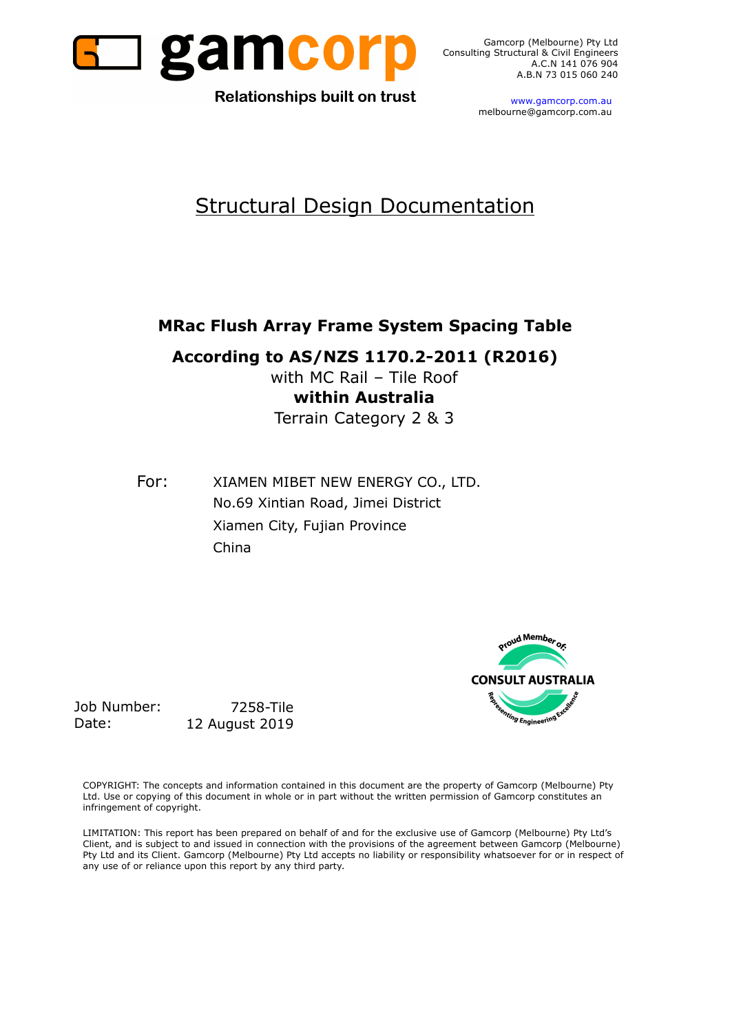

Gamcorp (Melbourne) Pty Ltd Consulting Structural & Civil Engineers A.B.N 73 015 060 240

**Relationships built on trust** 

 www.gamcorp.com.au melbourne@gamcorp.com.au

# Structural Design Documentation

# **MRac Flush Array Frame System Spacing Table**

**According to AS/NZS 1170.2-2011 (R2016)**

with MC Rail – Tile Roof **within Australia** Terrain Category 2 & 3

For: XIAMEN MIBET NEW ENERGY CO., LTD. No.69 Xintian Road, Jimei District Xiamen City, Fujian Province China



Job Number: 7258-Tile Date: 12 August 2019

COPYRIGHT: The concepts and information contained in this document are the property of Gamcorp (Melbourne) Pty Ltd. Use or copying of this document in whole or in part without the written permission of Gamcorp constitutes an infringement of copyright.

LIMITATION: This report has been prepared on behalf of and for the exclusive use of Gamcorp (Melbourne) Pty Ltd's Client, and is subject to and issued in connection with the provisions of the agreement between Gamcorp (Melbourne) Pty Ltd and its Client. Gamcorp (Melbourne) Pty Ltd accepts no liability or responsibility whatsoever for or in respect of any use of or reliance upon this report by any third party.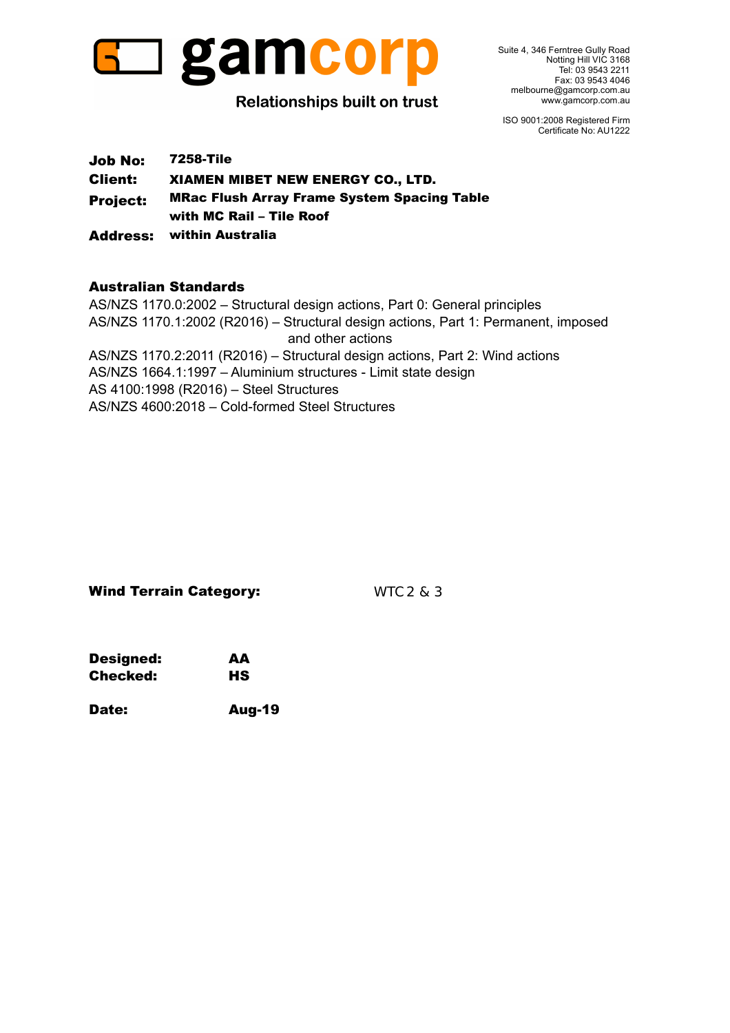

Suite 4, 346 Ferntree Gully Road Notting Hill VIC 3168 Tel: 03 9543 2211 Fax: 03 9543 4046 melbourne@gamcorp.com.au www.gamcorp.com.au

ISO 9001:2008 Registered Firm Certificate No: AU1222

Job No: 7258-Tile Client: XIAMEN MIBET NEW ENERGY CO., LTD. Project: MRac Flush Array Frame System Spacing Table with MC Rail – Tile Roof Address: within Australia

# Australian Standards

AS/NZS 1170.1:2002 (R2016) – Structural design actions, Part 1: Permanent, imposed AS/NZS 1170.2:2011 (R2016) – Structural design actions, Part 2: Wind actions AS/NZS 1664.1:1997 – Aluminium structures - Limit state design AS 4100:1998 (R2016) – Steel Structures AS/NZS 4600:2018 – Cold-formed Steel Structures AS/NZS 1170.0:2002 – Structural design actions, Part 0: General principles and other actions

## Wind Terrain Category: WTC 2 & 3

| Designed: | AА        |
|-----------|-----------|
| Checked:  | <b>HS</b> |

Date: Aug-19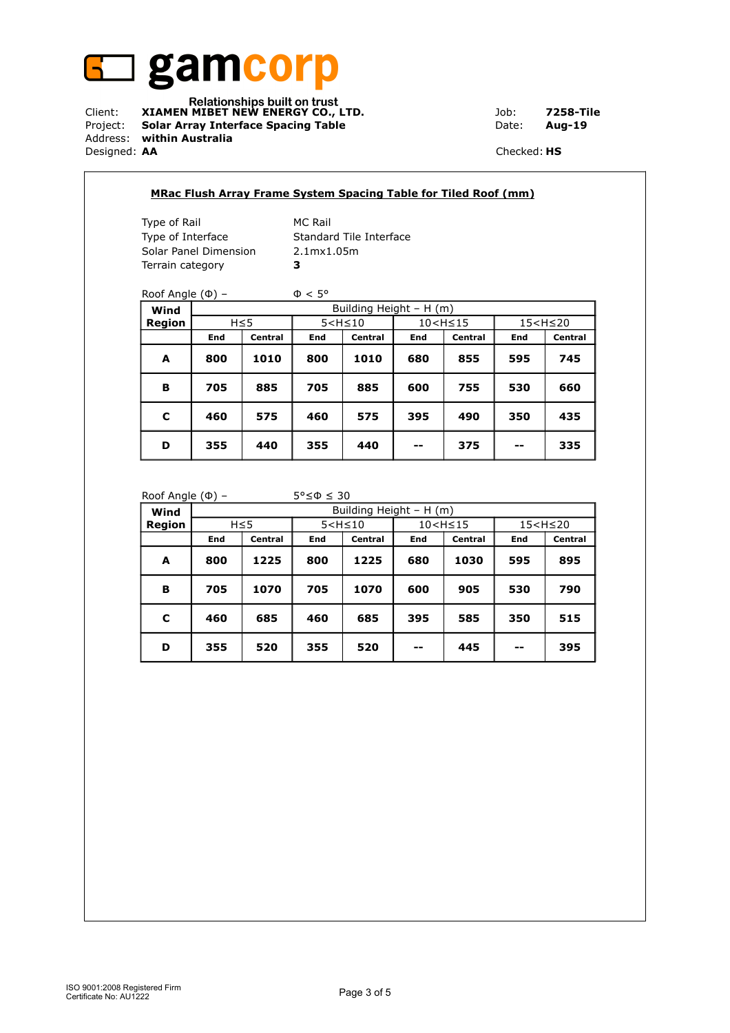

Client: **XIAMEN MIBET NEW ENERGY CO., LTD.** Job: **7258-Tile** Project: **Solar Array Interface Spacing Table Date: Aug-19** Address: **within Australia** Designed: **AA** Checked: **HS**

|                               |     |            |                    |                         |                                                                      | <b>MRac Flush Array Frame System Spacing Table for Tiled Roof (mm)</b> |                          |         |  |
|-------------------------------|-----|------------|--------------------|-------------------------|----------------------------------------------------------------------|------------------------------------------------------------------------|--------------------------|---------|--|
| Type of Rail                  |     |            | <b>MC Rail</b>     |                         |                                                                      |                                                                        |                          |         |  |
| Type of Interface             |     |            |                    | Standard Tile Interface |                                                                      |                                                                        |                          |         |  |
| Solar Panel Dimension         |     |            | 2.1mx1.05m         |                         |                                                                      |                                                                        |                          |         |  |
| Terrain category              |     |            | 3                  |                         |                                                                      |                                                                        |                          |         |  |
| Roof Angle $(\Phi)$ –<br>Wind |     |            | $\Phi < 5^{\circ}$ | Building Height - H (m) |                                                                      |                                                                        |                          |         |  |
| Region                        |     | $H \leq 5$ | $5 < H \leq 10$    |                         | 10 <h≤15< th=""><th colspan="2">15<h≤20< th=""></h≤20<></th></h≤15<> |                                                                        | 15 <h≤20< th=""></h≤20<> |         |  |
|                               | End | Central    | End                | Central                 | End                                                                  | Central                                                                | End                      | Central |  |
| A                             | 800 | 1010       | 800                | 1010                    | 680                                                                  | 855                                                                    | 595                      | 745     |  |
| в                             | 705 | 885        | 705                | 885                     | 600                                                                  | 755                                                                    | 530                      | 660     |  |
| C                             | 460 | 575        | 460                | 575                     | 395                                                                  | 490                                                                    | 350                      | 435     |  |
|                               |     |            |                    |                         |                                                                      |                                                                        |                          |         |  |

#### Roof Angle ( $\Phi$ ) – 5° $\leq \Phi \leq 30$

 $\overline{\phantom{a}}$ 

| ----<br>Wind  |     |            |     | Building Height - H (m) |     |                                                                   |       |                          |
|---------------|-----|------------|-----|-------------------------|-----|-------------------------------------------------------------------|-------|--------------------------|
| <b>Region</b> |     | $H \leq 5$ |     | $5 < H \leq 10$         |     | 10 <h≤15< th=""><th></th><th>15<h≤20< th=""></h≤20<></th></h≤15<> |       | 15 <h≤20< th=""></h≤20<> |
|               | End | Central    | End | Central                 | End | Central                                                           | End   | <b>Central</b>           |
| A             | 800 | 1225       | 800 | 1225                    | 680 | 1030                                                              | 595   | 895                      |
| в             | 705 | 1070       | 705 | 1070                    | 600 | 905                                                               | 530   | 790                      |
| c             | 460 | 685        | 460 | 685                     | 395 | 585                                                               | 350   | 515                      |
| D             | 355 | 520        | 355 | 520                     | --  | 445                                                               | $- -$ | 395                      |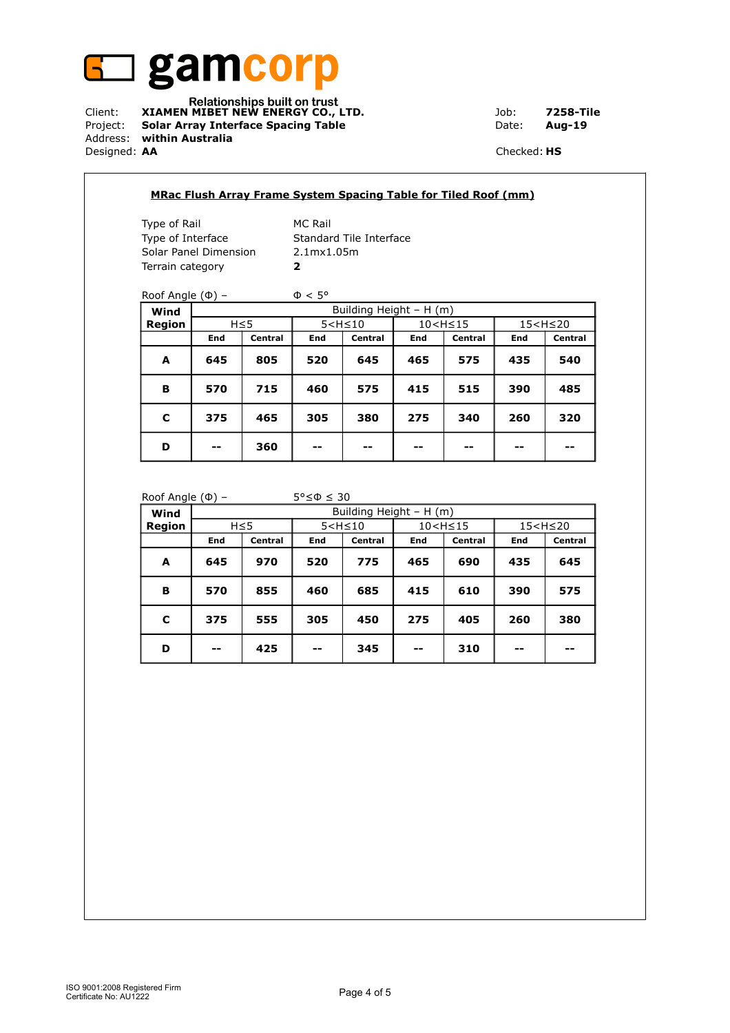

Client: **XIAMEN MIBET NEW ENERGY CO., LTD.** Job: **7258-Tile** Project: **Solar Array Interface Spacing Table Date: Aug-19** Address: **within Australia** Designed: **AA** Checked: **HS**

| Type of Rail          |     |            | <b>MC Rail</b>                                                                                   |                         |     |         |                          |         |  |
|-----------------------|-----|------------|--------------------------------------------------------------------------------------------------|-------------------------|-----|---------|--------------------------|---------|--|
| Type of Interface     |     |            |                                                                                                  | Standard Tile Interface |     |         |                          |         |  |
| Solar Panel Dimension |     |            | 2.1mx1.05m                                                                                       |                         |     |         |                          |         |  |
| Terrain category      |     |            | $\overline{\mathbf{2}}$                                                                          |                         |     |         |                          |         |  |
|                       |     |            |                                                                                                  |                         |     |         |                          |         |  |
| Roof Angle $(\Phi)$ – |     |            | $\Phi < 5^{\circ}$                                                                               |                         |     |         |                          |         |  |
| Wind                  |     |            | Building Height - H (m)                                                                          |                         |     |         |                          |         |  |
| Region                |     | $H \leq 5$ | $5 < H \leq 10$<br>10 <h≤15< th=""><th></th><th colspan="2">15<h≤20< th=""></h≤20<></th></h≤15<> |                         |     |         | 15 <h≤20< th=""></h≤20<> |         |  |
|                       | End | Central    | End                                                                                              | Central                 | End | Central | End                      | Central |  |
| A                     | 645 | 805        | 520                                                                                              | 645                     | 465 | 575     | 435                      | 540     |  |
|                       | 570 | 715        | 460                                                                                              | 575                     | 415 | 515     | 390                      | 485     |  |
| в                     |     | 465        | 305                                                                                              | 380                     | 275 | 340     | 260                      | 320     |  |
| C                     | 375 |            |                                                                                                  |                         |     |         |                          |         |  |

#### Roof Angle  $(\Phi)$  – 5° $\leq \Phi \leq 30$

| $\tilde{\phantom{a}}$<br>Wind |       |            |       | Building Height - H (m) |     |                                                                   |     |                          |
|-------------------------------|-------|------------|-------|-------------------------|-----|-------------------------------------------------------------------|-----|--------------------------|
| Region                        |       | $H \leq 5$ |       | $5 < H \leq 10$         |     | 10 <h≤15< th=""><th></th><th>15<h≤20< th=""></h≤20<></th></h≤15<> |     | 15 <h≤20< th=""></h≤20<> |
|                               | End   | Central    | End   | Central                 | End | <b>Central</b>                                                    | End | Central                  |
| A                             | 645   | 970        | 520   | 775                     | 465 | 690                                                               | 435 | 645                      |
| в                             | 570   | 855        | 460   | 685                     | 415 | 610                                                               | 390 | 575                      |
| C                             | 375   | 555        | 305   | 450                     | 275 | 405                                                               | 260 | 380                      |
| D                             | $- -$ | 425        | $- -$ | 345                     | --  | 310                                                               | --  | --                       |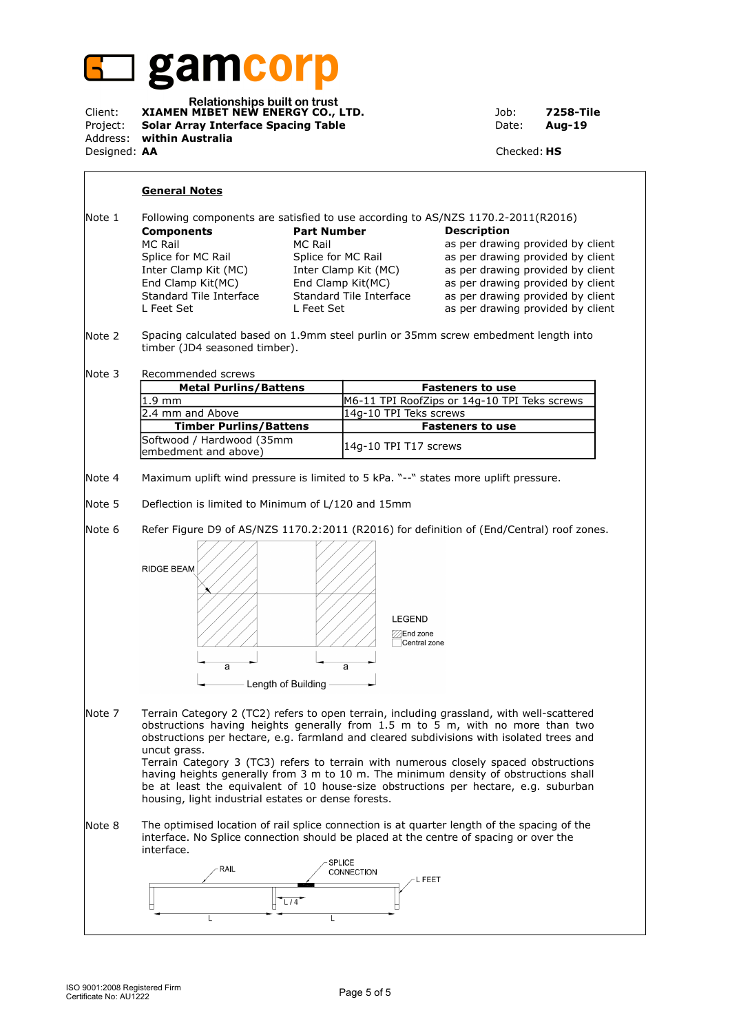

| Client:             | Relationships built on trust<br>XIAMEN MIBET NEW ENERGY CO., LTD. | Job:               | 7258-Tile |
|---------------------|-------------------------------------------------------------------|--------------------|-----------|
|                     | Project: Solar Array Interface Spacing Table                      | Date:              | Aug-19    |
|                     | Address: within Australia                                         |                    |           |
| Designed: <b>AA</b> |                                                                   | Checked: <b>HS</b> |           |

#### **General Notes**

| Note 1 |                         |                         | Following components are satisfied to use according to AS/NZS 1170.2-2011(R2016) |
|--------|-------------------------|-------------------------|----------------------------------------------------------------------------------|
|        | <b>Components</b>       | <b>Part Number</b>      | <b>Description</b>                                                               |
|        | MC Rail                 | MC Rail                 | as per drawing provided by client                                                |
|        | Splice for MC Rail      | Splice for MC Rail      | as per drawing provided by client                                                |
|        | Inter Clamp Kit (MC)    | Inter Clamp Kit (MC)    | as per drawing provided by client                                                |
|        | End Clamp Kit(MC)       | End Clamp Kit(MC)       | as per drawing provided by client                                                |
|        | Standard Tile Interface | Standard Tile Interface | as per drawing provided by client                                                |
|        | L Feet Set              | L Feet Set              | as per drawing provided by client                                                |

Note 2 Spacing calculated based on 1.9mm steel purlin or 35mm screw embedment length into timber (JD4 seasoned timber).

Note 3 Recommended screws

| <b>Metal Purlins/Battens</b>                       | <b>Fasteners to use</b>                      |
|----------------------------------------------------|----------------------------------------------|
| $1.9$ mm                                           | M6-11 TPI RoofZips or 14g-10 TPI Teks screws |
| 2.4 mm and Above                                   | 14g-10 TPI Teks screws                       |
| <b>Timber Purlins/Battens</b>                      | <b>Fasteners to use</b>                      |
| Softwood / Hardwood (35mm)<br>embedment and above) | 14q-10 TPI T17 screws                        |

Note 4 Maximum uplift wind pressure is limited to 5 kPa. "--" states more uplift pressure.

Note 5 Deflection is limited to Minimum of L/120 and 15mm

Note 6 Refer Figure D9 of AS/NZS 1170.2:2011 (R2016) for definition of (End/Central) roof zones.



Note 7 Terrain Category 2 (TC2) refers to open terrain, including grassland, with well-scattered obstructions having heights generally from 1.5 m to 5 m, with no more than two obstructions per hectare, e.g. farmland and cleared subdivisions with isolated trees and uncut grass. Terrain Category 3 (TC3) refers to terrain with numerous closely spaced obstructions

having heights generally from 3 m to 10 m. The minimum density of obstructions shall be at least the equivalent of 10 house-size obstructions per hectare, e.g. suburban housing, light industrial estates or dense forests.

Note 8 The optimised location of rail splice connection is at quarter length of the spacing of the interface. No Splice connection should be placed at the centre of spacing or over the interface.

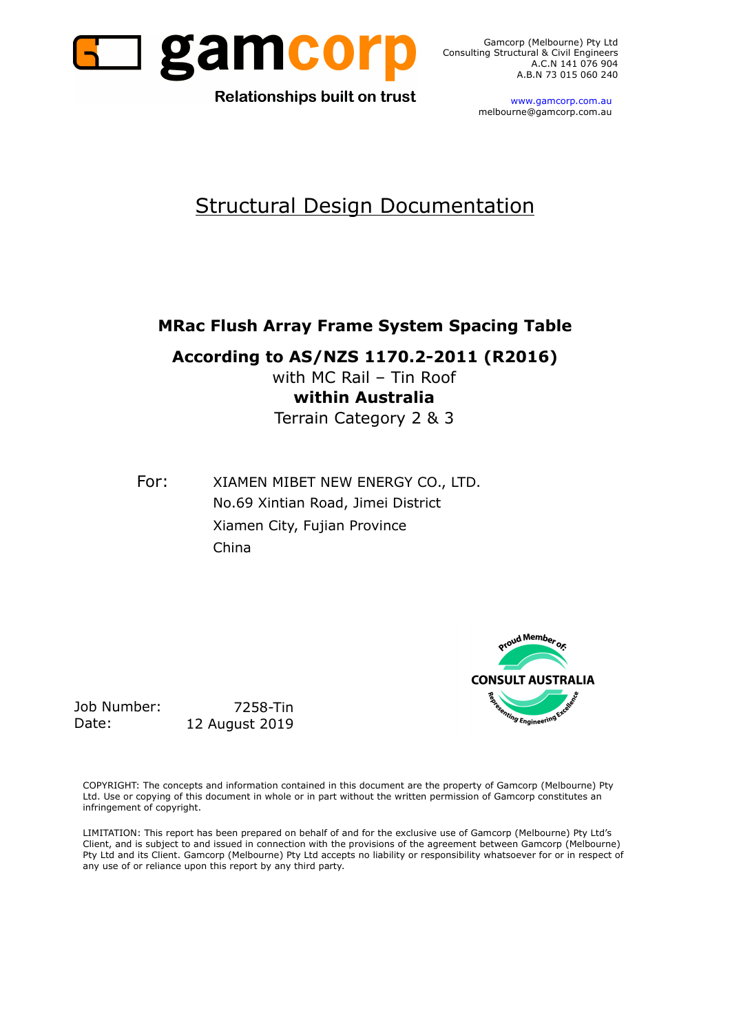

Gamcorp (Melbourne) Pty Ltd Consulting Structural & Civil Engineers A.B.N 73 015 060 240

**Relationships built on trust** 

 www.gamcorp.com.au melbourne@gamcorp.com.au

# Structural Design Documentation

# **MRac Flush Array Frame System Spacing Table**

**According to AS/NZS 1170.2-2011 (R2016)**

with MC Rail – Tin Roof **within Australia** Terrain Category 2 & 3

For: XIAMEN MIBET NEW ENERGY CO., LTD. No.69 Xintian Road, Jimei District Xiamen City, Fujian Province China



Job Number: 7258-Tin Date: 12 August 2019

COPYRIGHT: The concepts and information contained in this document are the property of Gamcorp (Melbourne) Pty Ltd. Use or copying of this document in whole or in part without the written permission of Gamcorp constitutes an infringement of copyright.

LIMITATION: This report has been prepared on behalf of and for the exclusive use of Gamcorp (Melbourne) Pty Ltd's Client, and is subject to and issued in connection with the provisions of the agreement between Gamcorp (Melbourne) Pty Ltd and its Client. Gamcorp (Melbourne) Pty Ltd accepts no liability or responsibility whatsoever for or in respect of any use of or reliance upon this report by any third party.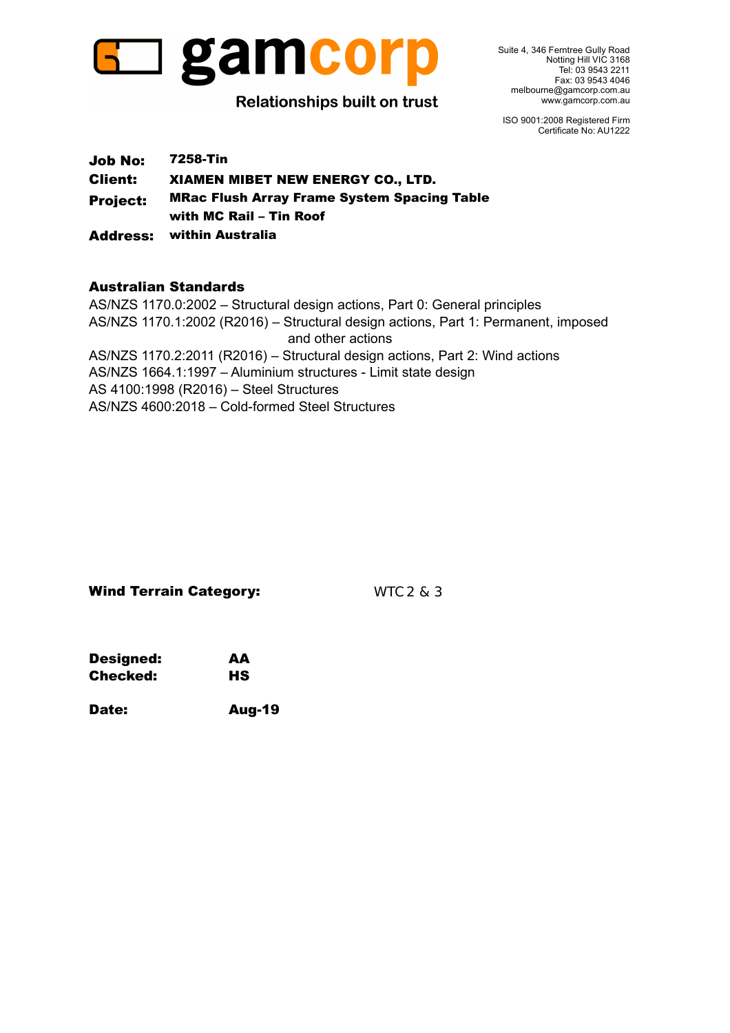

Suite 4, 346 Ferntree Gully Road Notting Hill VIC 3168 Tel: 03 9543 2211 Fax: 03 9543 4046 melbourne@gamcorp.com.au www.gamcorp.com.au

ISO 9001:2008 Registered Firm Certificate No: AU1222

Job No: 7258-Tin Client: XIAMEN MIBET NEW ENERGY CO., LTD. Project: MRac Flush Array Frame System Spacing Table with MC Rail – Tin Roof Address: within Australia

# Australian Standards

AS/NZS 1170.1:2002 (R2016) – Structural design actions, Part 1: Permanent, imposed AS/NZS 1170.2:2011 (R2016) – Structural design actions, Part 2: Wind actions AS/NZS 1664.1:1997 – Aluminium structures - Limit state design AS 4100:1998 (R2016) – Steel Structures AS/NZS 4600:2018 – Cold-formed Steel Structures AS/NZS 1170.0:2002 – Structural design actions, Part 0: General principles and other actions

## Wind Terrain Category: WTC 2 & 3

| Designed: | AА        |
|-----------|-----------|
| Checked:  | <b>HS</b> |

Date: Aug-19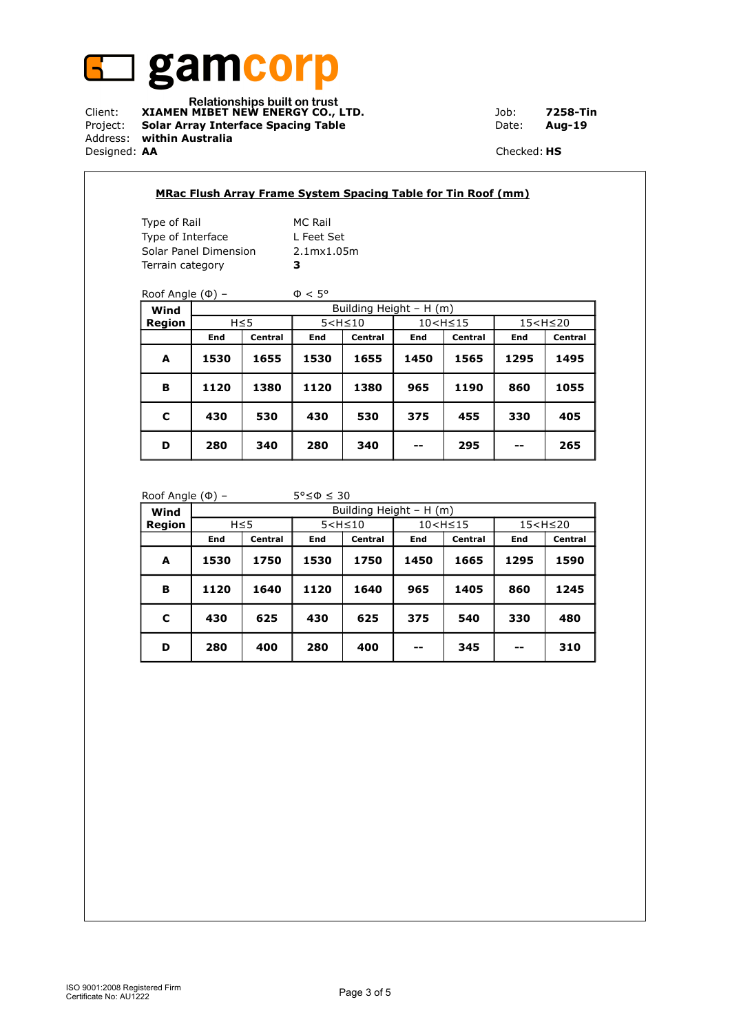

Relationships built on trust<br>Client: **XIAMEN MIBET NEW ENERGY CO., LTD.** Job: 7258-Tin Project: **Solar Array Interface Spacing Table Date: Aug-19** Address: **within Australia** Designed: **AA** Checked: **HS**

| Type of Rail          |                       |            | <b>MC Rail</b>          |         |                                                                      |         |                          |         |
|-----------------------|-----------------------|------------|-------------------------|---------|----------------------------------------------------------------------|---------|--------------------------|---------|
| Type of Interface     |                       |            | L Feet Set              |         |                                                                      |         |                          |         |
|                       | Solar Panel Dimension |            | 2.1mx1.05m              |         |                                                                      |         |                          |         |
| Terrain category      |                       |            | 3                       |         |                                                                      |         |                          |         |
|                       |                       |            |                         |         |                                                                      |         |                          |         |
| Roof Angle $(\Phi)$ – |                       |            | $\Phi < 5^{\circ}$      |         |                                                                      |         |                          |         |
| Wind                  |                       |            | Building Height - H (m) |         |                                                                      |         |                          |         |
| Region                |                       | $H \leq 5$ | $5 < H \leq 10$         |         | 10 <h≤15< th=""><th colspan="2">15<h≤20< th=""></h≤20<></th></h≤15<> |         | 15 <h≤20< th=""></h≤20<> |         |
|                       | End                   | Central    | End                     | Central | End                                                                  | Central | End                      | Central |
| A                     | 1530                  | 1655       | 1530                    | 1655    | 1450                                                                 | 1565    | 1295                     | 1495    |
| B                     | 1120                  | 1380       | 1120                    | 1380    | 965                                                                  | 1190    | 860                      | 1055    |
|                       | 430                   | 530        | 430                     | 530     | 375                                                                  | 455     | 330                      | 405     |
| C                     |                       |            |                         |         |                                                                      |         |                          |         |

### Roof Angle ( $\Phi$ ) – 5°≤ $\Phi$  ≤ 30

| . <u>.</u> |      |            |      |                         |      |                                                                   |      |                          |
|------------|------|------------|------|-------------------------|------|-------------------------------------------------------------------|------|--------------------------|
| Wind       |      |            |      | Building Height - H (m) |      |                                                                   |      |                          |
| Region     |      | $H \leq 5$ |      | $5 < H \leq 10$         |      | 10 <h≤15< td=""><td></td><td>15<h≤20< td=""></h≤20<></td></h≤15<> |      | 15 <h≤20< td=""></h≤20<> |
|            | End  | Central    | End  | Central                 | End  | <b>Central</b>                                                    | End  | Central                  |
| A          | 1530 | 1750       | 1530 | 1750                    | 1450 | 1665                                                              | 1295 | 1590                     |
| B          | 1120 | 1640       | 1120 | 1640                    | 965  | 1405                                                              | 860  | 1245                     |
| C          | 430  | 625        | 430  | 625                     | 375  | 540                                                               | 330  | 480                      |
| D          | 280  | 400        | 280  | 400                     | --   | 345                                                               | $-$  | 310                      |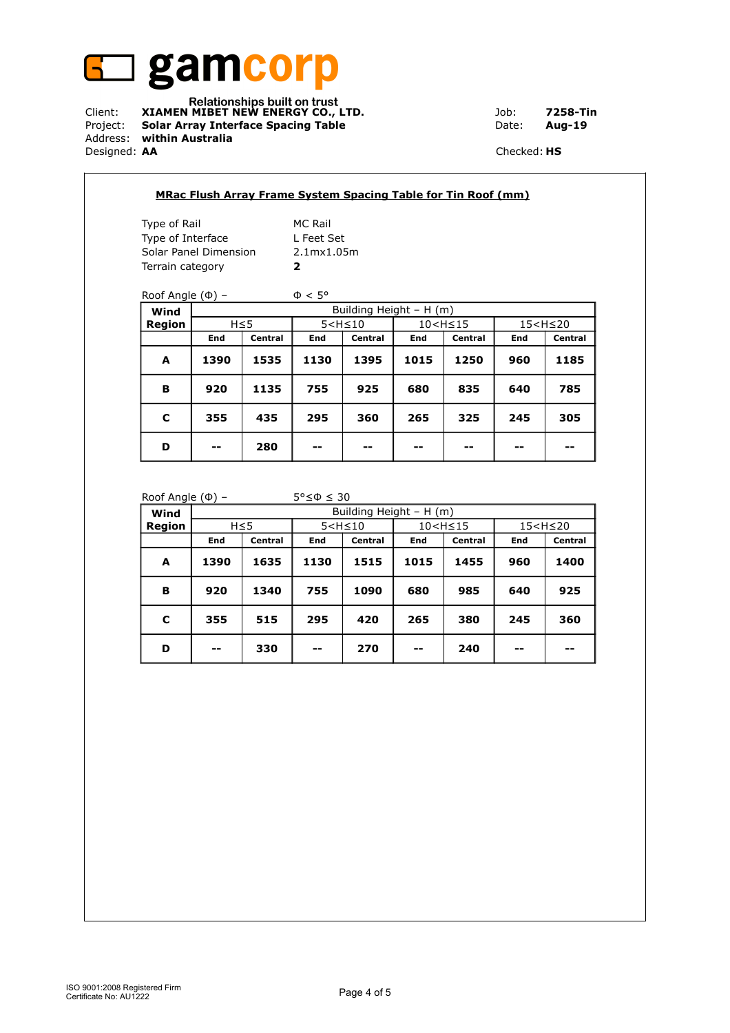

Relationships built on trust<br>Client: **XIAMEN MIBET NEW ENERGY CO., LTD.** Job: 7258-Tin Project: **Solar Array Interface Spacing Table Date: Aug-19** Address: **within Australia** Designed: **AA** Checked: **HS**

 $\sqrt{2}$ 

| Type of Rail          |      |            | <b>MC Rail</b>     |                          |                                                                             |         |                  |         |
|-----------------------|------|------------|--------------------|--------------------------|-----------------------------------------------------------------------------|---------|------------------|---------|
| Type of Interface     |      |            | L Feet Set         |                          |                                                                             |         |                  |         |
| Solar Panel Dimension |      |            | 2.1mx1.05m         |                          |                                                                             |         |                  |         |
| Terrain category      |      |            | $\overline{2}$     |                          |                                                                             |         |                  |         |
|                       |      |            |                    |                          |                                                                             |         |                  |         |
| Roof Angle $(\Phi)$ – |      |            | $\Phi < 5^{\circ}$ |                          |                                                                             |         |                  |         |
| Wind                  |      |            |                    | Building Height $- H(m)$ |                                                                             |         |                  |         |
| Region                |      | $H \leq 5$ | $5 < H \leq 10$    |                          | 10 <h≤15< th=""><th colspan="2"><math>15 &lt; H \leq 20</math></th></h≤15<> |         | $15 < H \leq 20$ |         |
|                       | End  | Central    | End                | Central                  | End                                                                         | Central | End              | Central |
| A                     | 1390 | 1535       | 1130               | 1395                     | 1015                                                                        | 1250    | 960              | 1185    |
| B                     | 920  | 1135       | 755                | 925                      | 680                                                                         | 835     | 640              | 785     |
| C                     | 355  | 435        | 295                | 360                      | 265                                                                         | 325     | 245              | 305     |
|                       |      |            |                    |                          |                                                                             |         |                  |         |

#### Roof Angle  $(\Phi)$  – 5° $\leq \Phi \leq 30$

| $\tilde{\phantom{a}}$<br>Wind | Building Height - H (m) |         |                 |         |                                                                      |                |                          |         |
|-------------------------------|-------------------------|---------|-----------------|---------|----------------------------------------------------------------------|----------------|--------------------------|---------|
| Region                        | $H \leq 5$              |         | $5 < H \leq 10$ |         | 10 <h≤15< th=""><th colspan="2">15<h≤20< th=""></h≤20<></th></h≤15<> |                | 15 <h≤20< th=""></h≤20<> |         |
|                               | End                     | Central | End             | Central | End                                                                  | <b>Central</b> | End                      | Central |
| A                             | 1390                    | 1635    | 1130            | 1515    | 1015                                                                 | 1455           | 960                      | 1400    |
| в                             | 920                     | 1340    | 755             | 1090    | 680                                                                  | 985            | 640                      | 925     |
| C                             | 355                     | 515     | 295             | 420     | 265                                                                  | 380            | 245                      | 360     |
| D                             | $- -$                   | 330     | $- -$           | 270     | --                                                                   | 240            | --                       | --      |